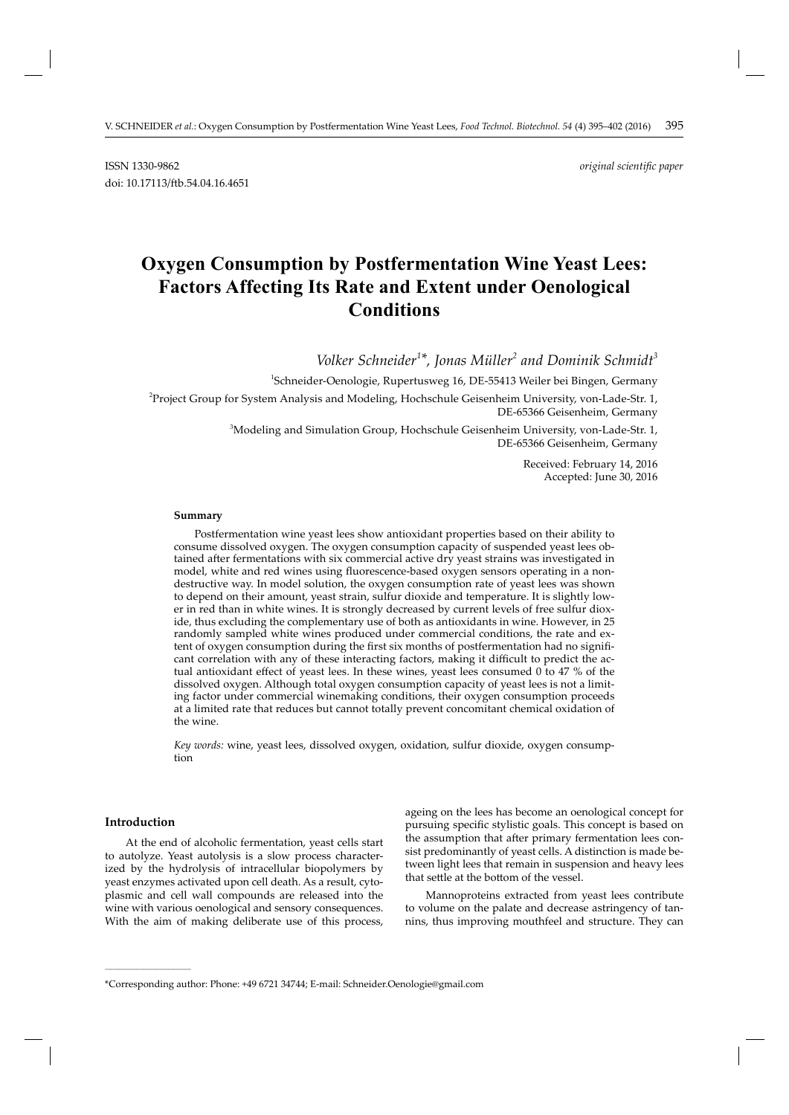# **Oxygen Consumption by Postfermentation Wine Yeast Lees: Factors Affecting Its Rate and Extent under Oenological Conditions**

 *Volker Schneider<sup>1</sup> \*, Jonas Müller2 and Dominik Schmidt<sup>3</sup>*

<sup>1</sup>Schneider-Oenologie, Rupertusweg 16, DE-55413 Weiler bei Bingen, Germany

2 Project Group for System Analysis and Modeling, Hochschule Geisenheim University, von-Lade-Str. 1, DE-65366 Geisenheim, Germany

> 3 Modeling and Simulation Group, Hochschule Geisenheim University, von-Lade-Str. 1, DE-65366 Geisenheim, Germany

> > Received: February 14, 2016 Accepted: June 30, 2016

## **Summary**

Postfermentation wine yeast lees show antioxidant properties based on their ability to consume dissolved oxygen. The oxygen consumption capacity of suspended yeast lees obtained after fermentations with six commercial active dry yeast strains was investigated in model, white and red wines using fluorescence-based oxygen sensors operating in a nondestructive way. In model solution, the oxygen consumption rate of yeast lees was shown to depend on their amount, yeast strain, sulfur dioxide and temperature. It is slightly lower in red than in white wines. It is strongly decreased by current levels of free sulfur dioxide, thus excluding the complementary use of both as antioxidants in wine. However, in 25 randomly sampled white wines produced under commercial conditions, the rate and extent of oxygen consumption during the first six months of postfermentation had no significant correlation with any of these interacting factors, making it difficult to predict the actual antioxidant effect of yeast lees. In these wines, yeast lees consumed  $0$  to  $47$  % of the dissolved oxygen. Although total oxygen consumption capacity of yeast lees is not a limiting factor under commercial winemaking conditions, their oxygen consumption proceeds at a limited rate that reduces but cannot totally prevent concomitant chemical oxidation of the wine.

*Key words:* wine, yeast lees, dissolved oxygen, oxidation, sulfur dioxide, oxygen consumption

# **Introduction**

**\_\_\_\_\_\_\_\_\_\_\_\_\_\_\_\_\_\_\_\_\_\_\_\_\_\_\_\_\_\_**

At the end of alcoholic fermentation, yeast cells start to autolyze. Yeast autolysis is a slow process characterized by the hydrolysis of intracellular biopolymers by yeast enzymes activated upon cell death. As a result, cytoplasmic and cell wall compounds are released into the wine with various oenological and sensory consequences. With the aim of making deliberate use of this process, ageing on the lees has become an oenological concept for pursuing specific stylistic goals. This concept is based on the assumption that after primary fermentation lees consist predominantly of yeast cells. A distinction is made between light lees that remain in suspension and heavy lees that settle at the bottom of the vessel.

Mannoproteins extracted from yeast lees contribute to volume on the palate and decrease astringency of tannins, thus improving mouthfeel and structure. They can

<sup>\*</sup>Corresponding author: Phone: +49 6721 34744; E-mail: Schneider.Oenologie@gmail.com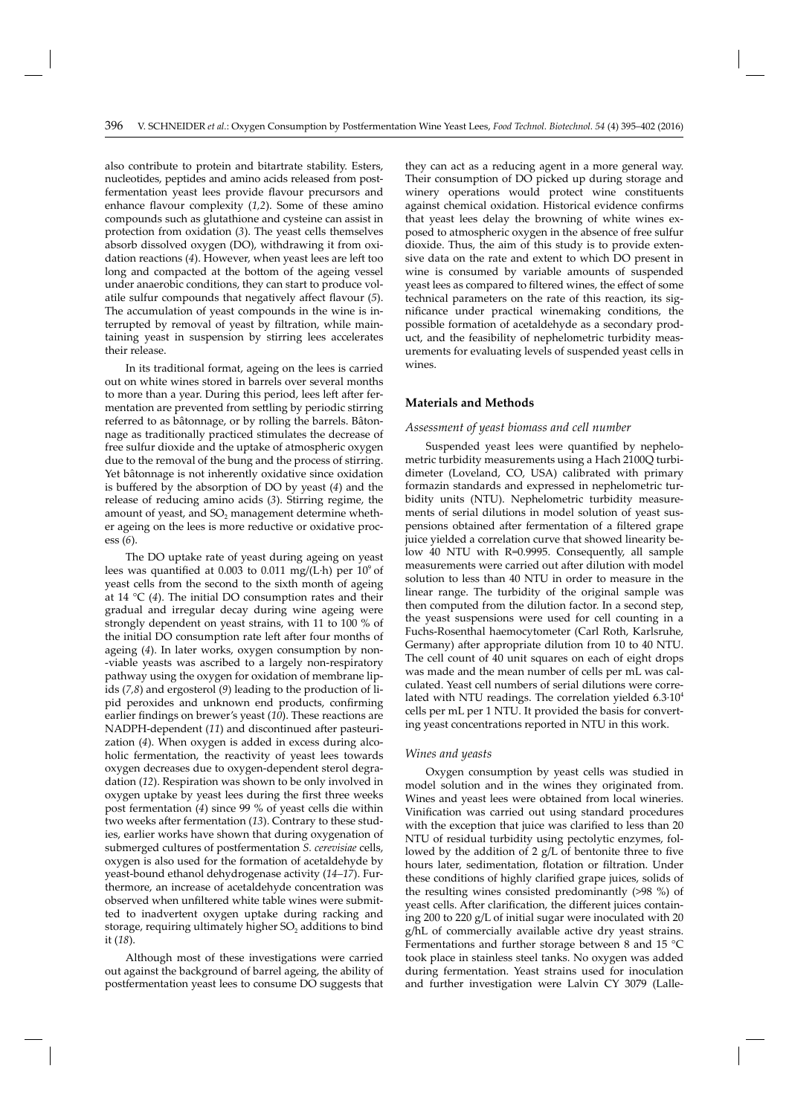also contribute to protein and bitartrate stability. Esters, nucleotides, peptides and amino acids released from postfermentation yeast lees provide flavour precursors and enhance flavour complexity (1,2). Some of these amino com pounds such as glutathione and cysteine can assist in protection from oxidation (*3*). The yeast cells themselves absorb dissolved oxygen (DO), withdrawing it from oxidation reactions (*4*). However, when yeast lees are left too long and compacted at the bottom of the ageing vessel under anaerobic conditions, they can start to produce volatile sulfur compounds that negatively affect flavour (5). The accumulation of yeast compounds in the wine is interrupted by removal of yeast by filtration, while maintaining yeast in suspension by stirring lees accelerates their release.

In its traditional format, ageing on the lees is carried out on white wines stored in barrels over several months to more than a year. During this period, lees left after fermentation are prevented from settling by periodic stirring referred to as bâtonnage, or by rolling the barrels. Bâtonnage as traditionally practiced stimulates the decrease of free sulfur dioxide and the uptake of atmospheric oxygen due to the removal of the bung and the process of stirring. Yet bâtonnage is not inherently oxidative since oxidation is buffered by the absorption of DO by yeast (4) and the release of reducing amino acids (*3*). Stirring regime, the amount of yeast, and  $SO<sub>2</sub>$  management determine whether ageing on the lees is more reductive or oxidative process (*6*).

The DO uptake rate of yeast during ageing on yeast lees was quantified at 0.003 to 0.011 mg/(L·h) per  $10^9$  of yeast cells from the second to the sixth month of ageing at 14 °C (*4*). The initial DO consumption rates and their gradual and irregular decay during wine ageing were strongly dependent on yeast strains, with 11 to 100 % of the initial DO consumption rate left after four months of ageing (*4*). In later works, oxygen consumption by non- -viable yeasts was ascribed to a largely non-respiratory pathway using the oxygen for oxidation of membrane lipids (*7,8*) and ergosterol (*9*) leading to the production of lipid peroxides and unknown end products, confirming earlier findings on brewer's yeast (10). These reactions are NADPH-dependent (11) and discontinued after pasteurization (*4*). When oxygen is added in excess during alcoholic fermentation, the reactivity of yeast lees towards oxygen decreases due to oxygen-dependent sterol degradation (*12*). Respiration was shown to be only involved in oxygen uptake by yeast lees during the first three weeks post fermentation (*4*) since 99 % of yeast cells die within two weeks after fermentation (13). Contrary to these studies, earlier works have shown that during oxygenation of submerged cultures of postfermentation *S. cerevisiae* cells, oxygen is also used for the formation of acetaldehyde by yeast-bound ethanol dehydrogenase activity (*14–17*). Furthermore, an increase of acetaldehyde concentration was observed when unfiltered white table wines were submitted to inadvertent oxygen uptake during racking and storage, requiring ultimately higher  $SO<sub>2</sub>$  additions to bind it (*18*).

Although most of these investigations were carried out against the background of barrel ageing, the ability of postfermentation yeast lees to consume DO suggests that they can act as a reducing agent in a more general way. Their consumption of DO picked up during storage and winery operations would protect wine constituents against chemical oxidation. Historical evidence confirms that yeast lees delay the browning of white wines exposed to atmospheric oxygen in the absence of free sulfur dioxide. Thus, the aim of this study is to provide extensive data on the rate and extent to which DO present in wine is consumed by variable amounts of suspended yeast lees as compared to filtered wines, the effect of some technical parameters on the rate of this reaction, its significance under practical winemaking conditions, the possible formation of acetaldehyde as a secondary product, and the feasibility of nephelometric turbidity measurements for evaluating levels of suspended yeast cells in wines.

# **Materials and Methods**

#### *Assessment of yeast biomass and cell number*

Suspended yeast lees were quantified by nephelometric turbidity measurements using a Hach 2100Q turbidimeter (Loveland, CO, USA) calibrated with primary formazin standards and expressed in nephelometric turbidity units (NTU). Nephelometric turbidity measurements of serial dilutions in model solution of yeast suspensions obtained after fermentation of a filtered grape juice yielded a correlation curve that showed linearity below 40 NTU with R=0.9995. Consequently, all sample measurements were carried out after dilution with model solution to less than 40 NTU in order to measure in the linear range. The turbidity of the original sample was then computed from the dilution factor. In a second step, the yeast suspensions were used for cell counting in a Fuchs-Rosenthal haemocytometer (Carl Roth, Karlsruhe, Germany) after appropriate dilution from 10 to 40 NTU. The cell count of 40 unit squares on each of eight drops was made and the mean number of cells per mL was calculated. Yeast cell numbers of serial dilutions were correlated with NTU readings. The correlation yielded  $6.3 \cdot 10^4$ cells per mL per 1 NTU. It provided the basis for converting yeast concentrations reported in NTU in this work.

## *Wines and yeasts*

Oxygen consumption by yeast cells was studied in model solution and in the wines they originated from. Wines and yeast lees were obtained from local wineries. Vinification was carried out using standard procedures with the exception that juice was clarified to less than 20 NTU of residual turbidity using pectolytic enzymes, followed by the addition of  $2$  g/L of bentonite three to five hours later, sedimentation, flotation or filtration. Under these conditions of highly clarified grape juices, solids of the resulting wines consisted predominantly (>98 %) of yeast cells. After clarification, the different juices containing 200 to 220 g/L of initial sugar were inoculated with 20 g/hL of commercially available active dry yeast strains. Fermentations and further storage between 8 and 15 °C took place in stainless steel tanks. No oxygen was added during fermentation. Yeast strains used for inoculation and further investigation were Lalvin CY 3079 (Lalle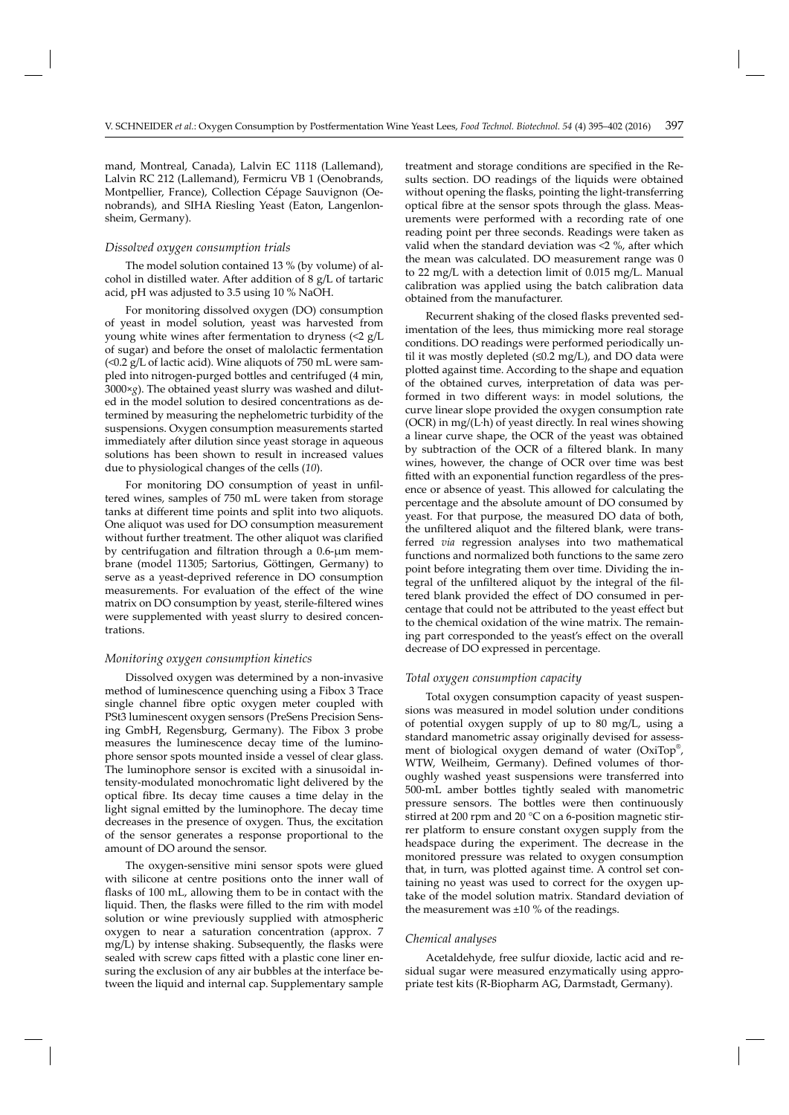mand, Montreal, Canada), Lalvin EC 1118 (Lallemand), Lalvin RC 212 (Lallemand), Fermicru VB 1 (Oenobrands, Montpellier, France), Collection Cépage Sauvignon (Oenobrands), and SIHA Riesling Yeast (Eaton, Langenlonsheim, Germany).

#### *Dissolved oxygen consumption trials*

The model solution contained 13 % (by volume) of alcohol in distilled water. After addition of  $8 \text{ g/L}$  of tartaric acid, pH was adjusted to 3.5 using 10 % NaOH.

For monitoring dissolved oxygen (DO) consumption of yeast in model solution, yeast was harvested from young white wines after fermentation to dryness  $\langle 2 \text{ g/L} \rangle$ of sugar) and before the onset of malolactic fermentation  $\left($  <0.2 g/L of lactic acid). Wine aliquots of 750 mL were sampled into nitrogen-purged bottles and centrifuged (4 min, 3000×*g*). The obtained yeast slurry was washed and diluted in the model solution to desired concentrations as determined by measuring the nephelometric turbidity of the suspensions. Oxygen consumption measurements started immediately after dilution since yeast storage in aqueous solutions has been shown to result in increased values due to physiological changes of the cells (*10*).

For monitoring DO consumption of yeast in unfiltered wines, samples of 750 mL were taken from storage tanks at different time points and split into two aliquots. One aliquot was used for DO consumption measurement without further treatment. The other aliquot was clarified by centrifugation and filtration through a 0.6-μm membrane (model 11305; Sartorius, Göttingen, Germany) to serve as a yeast-deprived reference in DO consumption measurements. For evaluation of the effect of the wine matrix on DO consumption by yeast, sterile-filtered wines were supplemented with yeast slurry to desired concentrations.

# *Monitoring oxygen consumption kinetics*

Dissolved oxygen was determined by a non-invasive method of luminescence quenching using a Fibox 3 Trace single channel fibre optic oxygen meter coupled with PSt3 luminescent oxygen sensors (PreSens Precision Sensing GmbH, Regensburg, Germany). The Fibox 3 probe measures the luminescence decay time of the luminophore sensor spots mounted inside a vessel of clear glass. The luminophore sensor is excited with a sinusoidal intensity-modulated monochromatic light delivered by the optical fibre. Its decay time causes a time delay in the light signal emitted by the luminophore. The decay time decreases in the presence of oxygen. Thus, the excitation of the sensor generates a response proportional to the amount of DO around the sensor.

The oxygen-sensitive mini sensor spots were glued with silicone at centre positions onto the inner wall of flasks of 100 mL, allowing them to be in contact with the liquid. Then, the flasks were filled to the rim with model solution or wine previously supplied with atmospheric oxygen to near a saturation concentration (approx. 7 mg/L) by intense shaking. Subsequently, the flasks were sealed with screw caps fitted with a plastic cone liner ensuring the exclusion of any air bubbles at the interface between the liquid and internal cap. Supplementary sample

treatment and storage conditions are specified in the Results section. DO readings of the liquids were obtained without opening the flasks, pointing the light-transferring optical fibre at the sensor spots through the glass. Measurements were performed with a recording rate of one reading point per three seconds. Readings were taken as valid when the standard deviation was  $\leq 2$  %, after which the mean was calculated. DO measurement range was 0 to 22 mg/L with a detection limit of 0.015 mg/L. Manual calibration was applied using the batch calibration data obtained from the manufacturer.

Recurrent shaking of the closed flasks prevented sedimentation of the lees, thus mimicking more real storage conditions. DO readings were performed periodically until it was mostly depleted  $≤0.2$  mg/L), and DO data were plotted against time. According to the shape and equation of the obtained curves, interpretation of data was performed in two different ways: in model solutions, the curve linear slope provided the oxygen consumption rate (OCR) in mg/(L·h) of yeast directly. In real wines showing a linear curve shape, the OCR of the yeast was obtained by subtraction of the OCR of a filtered blank. In many wines, however, the change of OCR over time was best fitted with an exponential function regardless of the presence or absence of yeast. This allowed for calculating the percentage and the absolute amount of DO consumed by yeast. For that purpose, the measured DO data of both, the unfiltered aliquot and the filtered blank, were transferred *via* regression analyses into two mathematical functions and normalized both functions to the same zero point before integrating them over time. Dividing the integral of the unfiltered aliquot by the integral of the filtered blank provided the effect of DO consumed in percentage that could not be attributed to the yeast effect but to the chemical oxidation of the wine matrix. The remaining part corresponded to the yeast's effect on the overall decrease of DO expressed in percentage.

# *Total oxygen consumption capacity*

Total oxygen consumption capacity of yeast suspensions was measured in model solution under conditions of potential oxygen supply of up to 80 mg/L, using a standard manometric assay originally devised for assessment of biological oxygen demand of water (OxiTop®, WTW, Weilheim, Germany). Defined volumes of thoroughly washed yeast suspensions were transferred into 500-mL amber bottles tightly sealed with manometric pressure sensors. The bottles were then continuously stirred at 200 rpm and 20 °C on a 6-position magnetic stirrer platform to ensure constant oxygen supply from the headspace during the experiment. The decrease in the monitored pressure was related to oxygen consumption that, in turn, was plotted against time. A control set containing no yeast was used to correct for the oxygen uptake of the model solution matrix. Standard deviation of the measurement was ±10 % of the readings.

## *Chemical analyses*

Acetaldehyde, free sulfur dioxide, lactic acid and residual sugar were measured enzymatically using appropriate test kits (R-Biopharm AG, Darmstadt, Germany).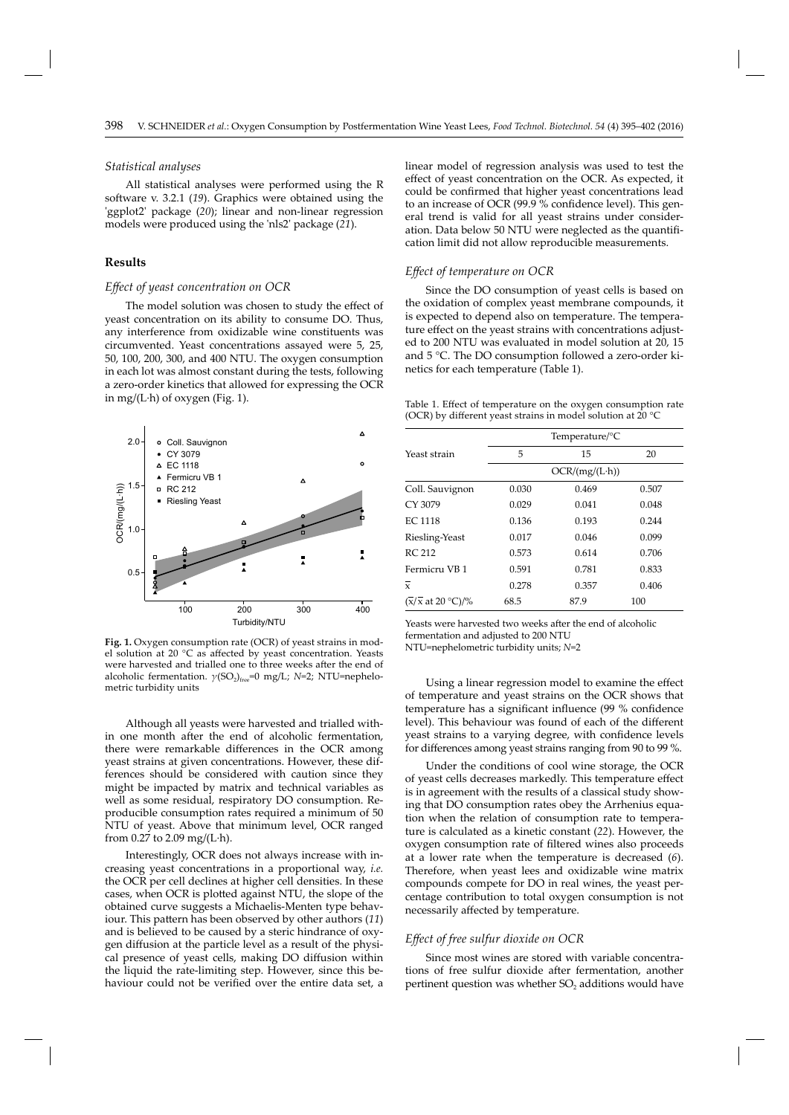#### *Statistical analyses*

All statistical analyses were performed using the R software v. 3.2.1 (19). Graphics were obtained using the 'ggplot2' package (*20*); linear and non-linear regression models were produced using the 'nls2' package (*21*).

# **Results**

#### *Eff ect of yeast concentration on OCR*

The model solution was chosen to study the effect of yeast concentration on its ability to consume DO. Thus, any interference from oxidizable wine constituents was circumvented. Yeast concentrations assayed were 5, 25, 50, 100, 200, 300, and 400 NTU. The oxygen consumption in each lot was almost constant during the tests, following a zero-order kinetics that allowed for expressing the OCR in mg/(L·h) of oxygen (Fig. 1).



Fig. 1. Oxygen consumption rate (OCR) of yeast strains in model solution at 20  $^{\circ}$ C as affected by yeast concentration. Yeasts were harvested and trialled one to three weeks after the end of alcoholic fermentation.  $γ(SO<sub>2</sub>)<sub>free</sub>=0$  mg/L; *N*=2; NTU=nephelometric turbidity units

Although all yeasts were harvested and trialled within one month after the end of alcoholic fermentation, there were remarkable differences in the OCR among yeast strains at given concentrations. However, these differences should be considered with caution since they might be impacted by matrix and technical variables as well as some residual, respiratory DO consumption. Reproducible consumption rates required a minimum of 50 NTU of yeast. Above that minimum level, OCR ranged from 0.27 to 2.09 mg/(L $\cdot$ h).

Interestingly, OCR does not always increase with increasing yeast concentrations in a proportional way, *i.e.*  the OCR per cell declines at higher cell densities. In these cases, when OCR is plotted against NTU, the slope of the obtained curve suggests a Michaelis-Menten type behaviour. This pattern has been observed by other authors (11) and is believed to be caused by a steric hindrance of oxygen diffusion at the particle level as a result of the physical presence of yeast cells, making DO diffusion within the liquid the rate-limiting step. However, since this behaviour could not be verified over the entire data set, a

linear model of regression analysis was used to test the effect of yeast concentration on the OCR. As expected, it could be confirmed that higher yeast concentrations lead to an increase of OCR (99.9 % confidence level). This general trend is valid for all yeast strains under consideration. Data below 50 NTU were neglected as the quantification limit did not allow reproducible measurements.

# *Eff ect of temperature on OCR*

Since the DO consumption of yeast cells is based on the oxidation of complex yeast membrane compounds, it is expected to depend also on temperature. The temperature effect on the yeast strains with concentrations adjusted to 200 NTU was evaluated in model solution at 20, 15 and 5 °C. The DO consumption followed a zero-order kinetics for each temperature (Table 1).

Table 1. Effect of temperature on the oxygen consumption rate (OCR) by different yeast strains in model solution at 20  $^{\circ}$ C

|                                           | Temperature/°C |                        |       |  |  |
|-------------------------------------------|----------------|------------------------|-------|--|--|
| Yeast strain                              | 5              | 15                     | 20    |  |  |
|                                           |                | $OCR/(mg/(L \cdot h))$ |       |  |  |
| Coll. Sauvignon                           | 0.030          | 0.469                  | 0.507 |  |  |
| CY 3079                                   | 0.029          | 0.041                  | 0.048 |  |  |
| EC 1118                                   | 0.136          | 0.193                  | 0.244 |  |  |
| Riesling-Yeast                            | 0.017          | 0.046                  | 0.099 |  |  |
| RC 212                                    | 0.573          | 0.614                  | 0.706 |  |  |
| Fermicru VB 1                             | 0.591          | 0.781                  | 0.833 |  |  |
| $\overline{\mathbf{x}}$                   | 0.278          | 0.357                  | 0.406 |  |  |
| $(\overline{x}/\overline{x})$ at 20 °C)/% | 68.5           | 87.9                   | 100   |  |  |

Yeasts were harvested two weeks after the end of alcoholic fermentation and adjusted to 200 NTU NTU=nephelometric turbidity units; *N*=2

Using a linear regression model to examine the effect of temperature and yeast strains on the OCR shows that temperature has a significant influence (99 % confidence level). This behaviour was found of each of the different yeast strains to a varying degree, with confidence levels for differences among yeast strains ranging from 90 to 99 %.

Under the conditions of cool wine storage, the OCR of yeast cells decreases markedly. This temperature effect is in agreement with the results of a classical study showing that DO consumption rates obey the Arrhenius equation when the relation of consumption rate to temperature is calculated as a kinetic constant (*22*). However, the oxygen consumption rate of filtered wines also proceeds at a lower rate when the temperature is decreased (*6*). Therefore, when yeast lees and oxidizable wine matrix compounds compete for DO in real wines, the yeast percentage contribution to total oxygen consumption is not necessarily affected by temperature.

## *Eff ect of free sulfur dioxide on OCR*

Since most wines are stored with variable concentrations of free sulfur dioxide after fermentation, another pertinent question was whether  $SO<sub>2</sub>$  additions would have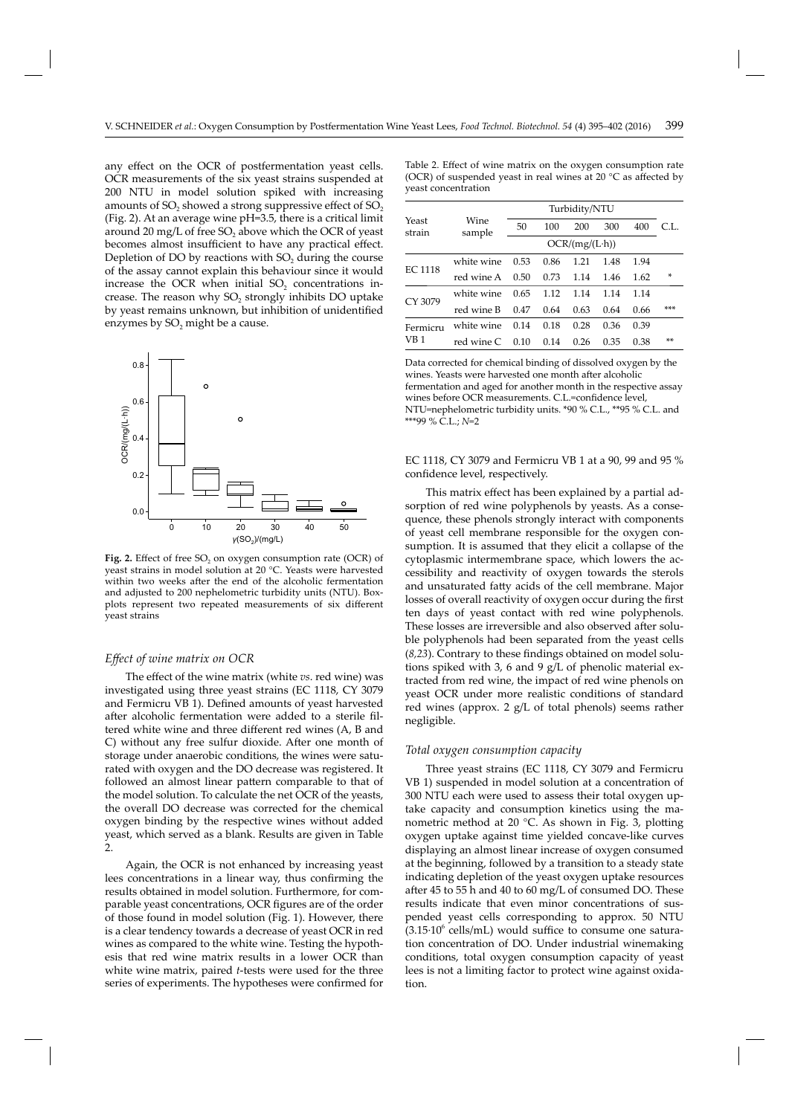any effect on the OCR of postfermentation yeast cells. OCR measurements of the six yeast strains suspended at 200 NTU in model solution spiked with increasing amounts of  $SO_2$  showed a strong suppressive effect of  $SO_2$ (Fig. 2). At an average wine pH=3.5, there is a critical limit around 20 mg/L of free  $SO_2$  above which the OCR of yeast becomes almost insufficient to have any practical effect. Depletion of DO by reactions with  $SO<sub>2</sub>$  during the course of the assay cannot explain this behaviour since it would increase the OCR when initial SO<sub>2</sub> concentrations increase. The reason why SO<sub>2</sub> strongly inhibits DO uptake by yeast remains unknown, but inhibition of unidentified enzymes by SO<sub>2</sub> might be a cause.



Fig. 2. Effect of free SO<sub>2</sub> on oxygen consumption rate (OCR) of yeast strains in model solution at 20 °C. Yeasts were harvested within two weeks after the end of the alcoholic fermentation and adjusted to 200 nephelometric turbidity units (NTU). Boxplots represent two repeated measurements of six different yeast strains

# *E ff ect of wine matrix on OCR*

The effect of the wine matrix (white *vs*. red wine) was investigated using three yeast strains (EC 1118, CY 3079 and Fermicru VB 1). Defined amounts of yeast harvested after alcoholic fermentation were added to a sterile filtered white wine and three different red wines (A, B and C) without any free sulfur dioxide. After one month of storage under anaerobic conditions, the wines were saturated with oxygen and the DO decrease was registered. It followed an almost linear pattern comparable to that of the model solution. To calculate the net OCR of the yeasts, the overall DO decrease was corrected for the chemical oxygen binding by the respective wines without added yeast, which served as a blank. Results are given in Table 2.

Again, the OCR is not enhanced by increasing yeast lees concentrations in a linear way, thus confirming the results obtained in model solution. Furthermore, for comparable yeast concentrations, OCR figures are of the order of those found in model solution (Fig. 1). However, there is a clear tendency towards a decrease of yeast OCR in red wines as compared to the white wine. Testing the hypothesis that red wine matrix results in a lower OCR than white wine matrix, paired *t*-tests were used for the three series of experiments. The hypotheses were confirmed for Table 2. Effect of wine matrix on the oxygen consumption rate (OCR) of suspended yeast in real wines at 20  $^{\circ}$ C as affected by yeast concentration

|                  |                | Turbidity/NTU          |      |      |      |      |      |
|------------------|----------------|------------------------|------|------|------|------|------|
| Yeast<br>strain  | Wine<br>sample | 50                     | 100  | 200  | 300  | 400  | CI.  |
|                  |                | $OCR/(mg/(L \cdot h))$ |      |      |      |      |      |
| EC 1118          | white wine     | 0.53                   | 0.86 | 1.21 | 1.48 | 1.94 |      |
|                  | red wine A     | 0.50                   | 0.73 | 1.14 | 1.46 | 1.62 | ×    |
| CY 3079          | white wine     | 0.65                   | 1.12 | 1.14 | 1.14 | 1.14 |      |
|                  | red wine B     | 0.47                   | 0.64 | 0.63 | 0.64 | 0.66 | ***  |
| Fermicru<br>VB 1 | white wine     | 0.14                   | 0.18 | 0.28 | 0.36 | 0.39 |      |
|                  | red wine C     | 0.10                   | 0.14 | 0.26 | 0.35 | 0.38 | $**$ |

Data corrected for chemical binding of dissolved oxygen by the wines. Yeasts were harvested one month after alcoholic fermentation and aged for another month in the respective assay wines before OCR measurements. C.L.=confidence level, NTU=nephelometric turbidity units. \*90 % C.L., \*\*95 % C.L. and \*\*\*99 % C.L.; *N*=2

EC 1118, CY 3079 and Fermicru VB 1 at a 90, 99 and 95 % confidence level, respectively.

This matrix effect has been explained by a partial adsorption of red wine polyphenols by yeasts. As a consequence, these phenols strongly interact with components of yeast cell membrane responsible for the oxygen consumption. It is assumed that they elicit a collapse of the cytoplasmic intermembrane space, which lowers the accessibility and reactivity of oxygen towards the sterols and unsaturated fatty acids of the cell membrane. Major losses of overall reactivity of oxygen occur during the first ten days of yeast contact with red wine polyphenols. These losses are irreversible and also observed after soluble polyphenols had been separated from the yeast cells (8,23). Contrary to these findings obtained on model solutions spiked with 3, 6 and 9 g/L of phenolic material extracted from red wine, the impact of red wine phenols on yeast OCR under more realistic conditions of standard red wines (approx. 2 g/L of total phenols) seems rather negligible.

#### *Total oxygen consumption capacity*

Three yeast strains (EC 1118, CY 3079 and Fermicru VB 1) suspended in model solution at a concentration of 300 NTU each were used to assess their total oxygen uptake capacity and consumption kinetics using the manometric method at 20  $^{\circ}$ C. As shown in Fig. 3, plotting oxygen uptake against time yielded concave-like curves displaying an almost linear increase of oxygen consumed at the beginning, followed by a transition to a steady state indicating depletion of the yeast oxygen uptake resources after 45 to 55 h and 40 to 60 mg/L of consumed DO. These results indicate that even minor concentrations of suspended yeast cells corresponding to approx. 50 NTU  $(3.15 \cdot 10^6 \text{ cells/mL})$  would suffice to consume one saturation concentration of DO. Under industrial winemaking conditions, total oxygen consumption capacity of yeast lees is not a limiting factor to protect wine against oxidation.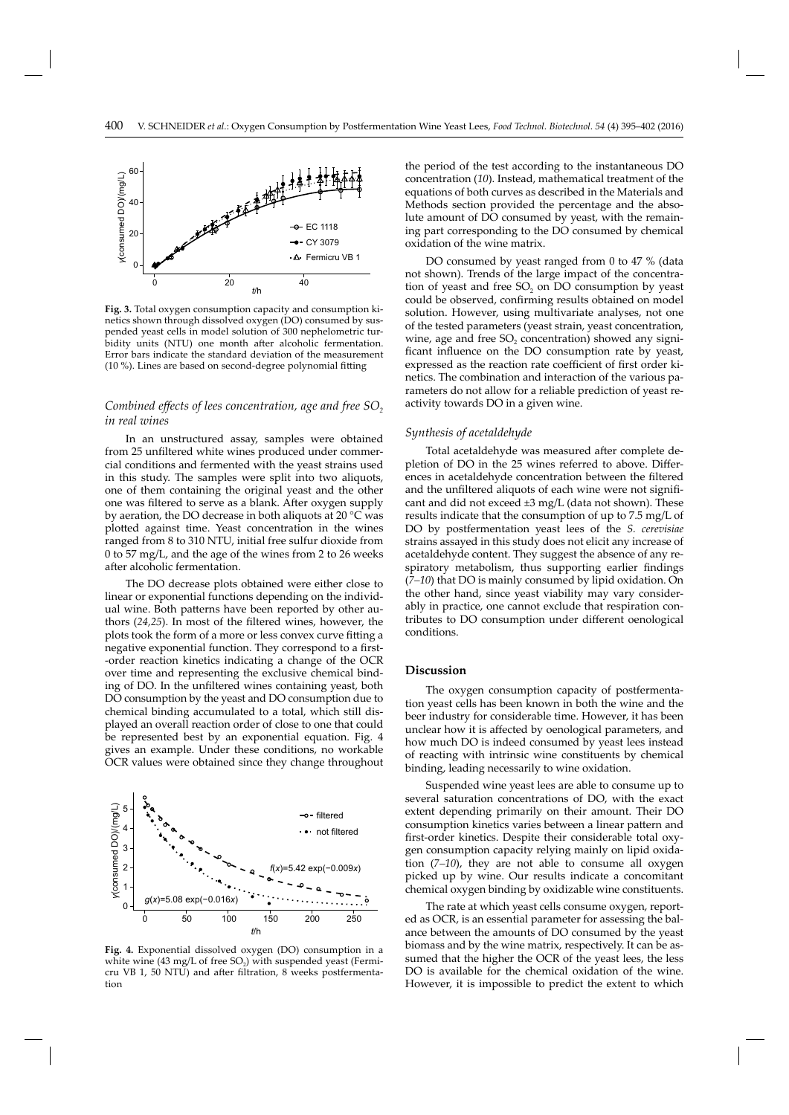

**Fig. 3.** Total oxygen consumption capacity and consumption kinetics shown through dissolved oxygen (DO) consumed by suspended yeast cells in model solution of 300 nephelometric turbidity units (NTU) one month after alcoholic fermentation. Error bars indicate the standard deviation of the measurement  $(10 \%)$ . Lines are based on second-degree polynomial fitting

# *Combined effects of lees concentration, age and free SO<sub>2</sub> in real wines*

In an unstructured assay, samples were obtained from 25 unfiltered white wines produced under commercial conditions and fermented with the yeast strains used in this study. The samples were split into two aliquots, one of them containing the original yeast and the other one was filtered to serve as a blank. After oxygen supply by aeration, the DO decrease in both aliquots at 20 °C was plotted against time. Yeast concentration in the wines ranged from 8 to 310 NTU, initial free sulfur dioxide from 0 to 57 mg/L, and the age of the wines from 2 to 26 weeks after alcoholic fermentation.

The DO decrease plots obtained were either close to linear or exponential functions depending on the individual wine. Both patterns have been reported by other authors (24,25). In most of the filtered wines, however, the plots took the form of a more or less convex curve fitting a negative exponential function. They correspond to a first--order reaction kinetics indicating a change of the OCR over time and representing the exclusive chemical binding of DO. In the unfiltered wines containing yeast, both DO consumption by the yeast and DO consumption due to chemical binding accumulated to a total, which still displayed an overall reaction order of close to one that could be represented best by an exponential equation. Fig. 4 gives an example. Under these conditions, no workable OCR values were obtained since they change throughout



**Fig. 4.** Exponential dissolved oxygen (DO) consumption in a white wine (43 mg/L of free  $SO<sub>2</sub>$ ) with suspended yeast (Fermicru VB 1, 50 NTU) and after filtration, 8 weeks postfermentation

the period of the test according to the instantaneous DO concentration (*10*). Instead, mathematical treatment of the equations of both curves as described in the Materials and Methods section provided the percentage and the absolute amount of DO consumed by yeast, with the remaining part corresponding to the DO consumed by chemical oxidation of the wine matrix.

DO consumed by yeast ranged from 0 to 47 % (data not shown). Trends of the large impact of the concentration of yeast and free  $SO<sub>2</sub>$  on DO consumption by yeast could be observed, confirming results obtained on model solution. However, using multivariate analyses, not one of the tested parameters (yeast strain, yeast concentration, wine, age and free SO<sub>2</sub> concentration) showed any significant influence on the DO consumption rate by yeast, expressed as the reaction rate coefficient of first order kinetics. The combination and interaction of the various parameters do not allow for a reliable prediction of yeast reactivity towards DO in a given wine.

#### *Synthesis of acetaldehyde*

Total acetaldehyde was measured after complete depletion of DO in the 25 wines referred to above. Differences in acetaldehyde concentration between the filtered and the unfiltered aliquots of each wine were not significant and did not exceed ±3 mg/L (data not shown). These results indicate that the consumption of up to 7.5 mg/L of DO by postfermentation yeast lees of the *S. cerevisiae* strains assayed in this study does not elicit any increase of acetaldehyde content. They suggest the absence of any respiratory metabolism, thus supporting earlier findings (*7–10*) that DO is mainly consumed by lipid oxidation. On the other hand, since yeast viability may vary considerably in practice, one cannot exclude that respiration contributes to DO consumption under different oenological conditions.

#### **Discussion**

The oxygen consumption capacity of postfermentation yeast cells has been known in both the wine and the beer industry for considerable time. However, it has been unclear how it is affected by oenological parameters, and how much DO is indeed consumed by yeast lees instead of reacting with intrinsic wine constituents by chemical binding, leading necessarily to wine oxidation.

Suspended wine yeast lees are able to consume up to several saturation concentrations of DO, with the exact extent depending primarily on their amount. Their DO consumption kinetics varies between a linear pattern and first-order kinetics. Despite their considerable total oxygen consumption capacity relying mainly on lipid oxidation (*7–10*), they are not able to consume all oxygen picked up by wine. Our results indicate a concomitant chemical oxygen binding by oxidizable wine constituents.

The rate at which yeast cells consume oxygen, reported as OCR, is an essential parameter for assessing the balance between the amounts of DO consumed by the yeast biomass and by the wine matrix, respectively. It can be assumed that the higher the OCR of the yeast lees, the less DO is available for the chemical oxidation of the wine. However, it is impossible to predict the extent to which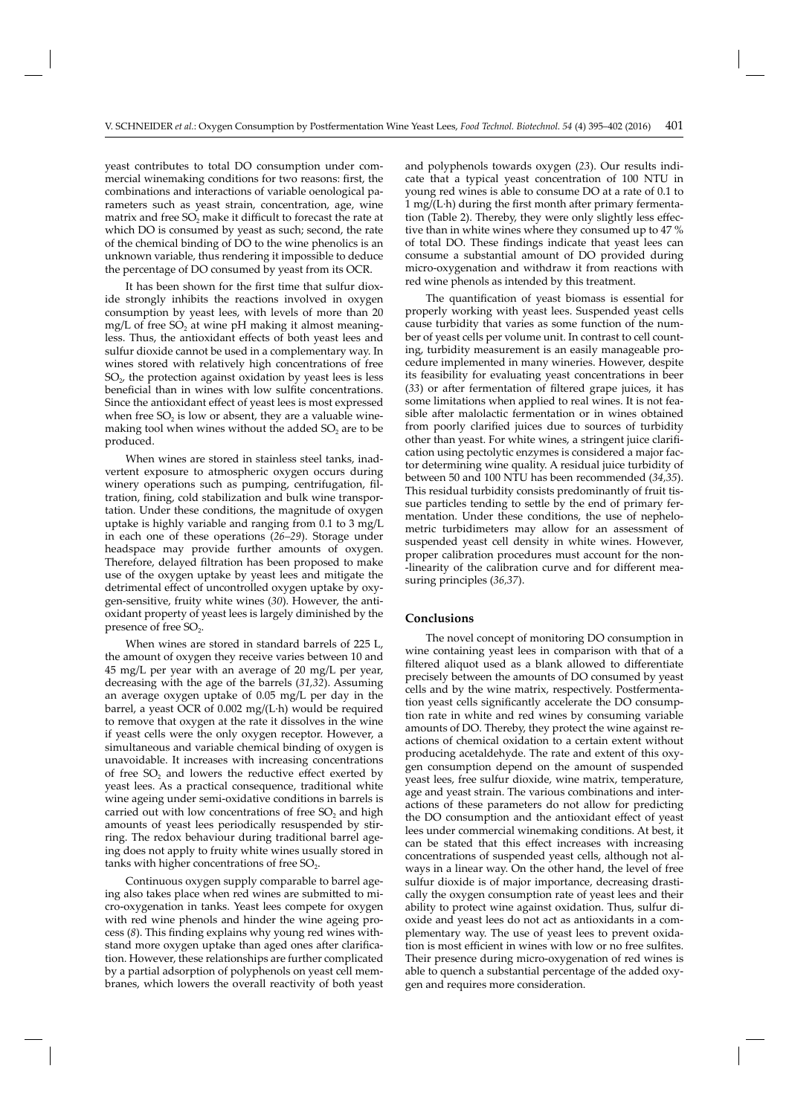yeast contributes to total DO consumption under commercial winemaking conditions for two reasons: first, the combinations and interactions of variable oenological parameters such as yeast strain, concentration, age, wine matrix and free  $SO_2$  make it difficult to forecast the rate at which DO is consumed by yeast as such; second, the rate of the chemical binding of DO to the wine phenolics is an unknown variable, thus rendering it impossible to deduce the percentage of DO consumed by yeast from its OCR.

It has been shown for the first time that sulfur dioxide strongly inhibits the reactions involved in oxygen consumption by yeast lees, with levels of more than 20 mg/L of free  $SO<sub>2</sub>$  at wine pH making it almost meaningless. Thus, the antioxidant effects of both yeast lees and sulfur dioxide cannot be used in a complementary way. In wines stored with relatively high concentrations of free  $SO<sub>2</sub>$ , the protection against oxidation by yeast lees is less beneficial than in wines with low sulfite concentrations. Since the antioxidant effect of yeast lees is most expressed when free  $SO<sub>2</sub>$  is low or absent, they are a valuable winemaking tool when wines without the added  $SO<sub>2</sub>$  are to be produced.

When wines are stored in stainless steel tanks, inadvertent exposure to atmospheric oxygen occurs during winery operations such as pumping, centrifugation, filtration, fining, cold stabilization and bulk wine transportation. Under these conditions, the magnitude of oxygen uptake is highly variable and ranging from 0.1 to 3 mg/L in each one of these operations (*26–29*). Storage under headspace may provide further amounts of oxygen. Therefore, delayed filtration has been proposed to make use of the oxygen uptake by yeast lees and mitigate the detrimental effect of uncontrolled oxygen uptake by oxygen-sensitive, fruity white wines (*30*). However, the antioxidant property of yeast lees is largely diminished by the presence of free SO<sub>2</sub>.

When wines are stored in standard barrels of 225 L, the amount of oxygen they receive varies between 10 and 45 mg/L per year with an average of 20 mg/L per year, decreasing with the age of the barrels (*31,32*). Assuming an average oxygen uptake of 0.05 mg/L per day in the barrel, a yeast OCR of 0.002 mg/(L·h) would be required to remove that oxygen at the rate it dissolves in the wine if yeast cells were the only oxygen receptor. However, a simultaneous and variable chemical binding of oxygen is unavoidable. It increases with increasing concentrations of free  $SO_2$  and lowers the reductive effect exerted by yeast lees. As a practical consequence, traditional white wine ageing under semi-oxidative conditions in barrels is carried out with low concentrations of free  $SO<sub>2</sub>$  and high amounts of yeast lees periodically resuspended by stirring. The redox behaviour during traditional barrel ageing does not apply to fruity white wines usually stored in tanks with higher concentrations of free  $SO<sub>2</sub>$ .

Continuous oxygen supply comparable to barrel ageing also takes place when red wines are submitted to micro-oxygenation in tanks. Yeast lees compete for oxygen with red wine phenols and hinder the wine ageing process (8). This finding explains why young red wines withstand more oxygen uptake than aged ones after clarification. However, these relationships are further complicated by a partial adsorption of polyphenols on yeast cell membranes, which lowers the overall reactivity of both yeast

and polyphenols towards oxygen (*23*). Our results indicate that a typical yeast concentration of 100 NTU in young red wines is able to consume DO at a rate of 0.1 to  $1$  mg/(L·h) during the first month after primary fermentation (Table 2). Thereby, they were only slightly less effective than in white wines where they consumed up to 47 % of total DO. These findings indicate that yeast lees can consume a substantial amount of DO provided during micro-oxygenation and withdraw it from reactions with red wine phenols as intended by this treatment.

The quantification of yeast biomass is essential for properly working with yeast lees. Suspended yeast cells cause turbidity that varies as some function of the number of yeast cells per volume unit. In contrast to cell counting, turbidity measurement is an easily manageable procedure implemented in many wineries. However, despite its feasibility for evaluating yeast concentrations in beer (33) or after fermentation of filtered grape juices, it has some limitations when applied to real wines. It is not feasible after malolactic fermentation or in wines obtained from poorly clarified juices due to sources of turbidity other than yeast. For white wines, a stringent juice clarification using pectolytic enzymes is considered a major factor determining wine quality. A residual juice turbidity of between 50 and 100 NTU has been recommended (*34,35*). This residual turbidity consists predominantly of fruit tissue particles tending to settle by the end of primary fermentation. Under these conditions, the use of nephelometric turbidimeters may allow for an assessment of suspended yeast cell density in white wines. However, proper calibration procedures must account for the non- -linearity of the calibration curve and for different measuring principles (*36,37*).

# **Conclusions**

The novel concept of monitoring DO consumption in wine containing yeast lees in comparison with that of a filtered aliquot used as a blank allowed to differentiate precisely between the amounts of DO consumed by yeast cells and by the wine matrix, respectively. Postfermentation yeast cells significantly accelerate the DO consumption rate in white and red wines by consuming variable amounts of DO. Thereby, they protect the wine against reactions of chemical oxidation to a certain extent without producing acetaldehyde. The rate and extent of this oxygen consumption depend on the amount of suspended yeast lees, free sulfur dioxide, wine matrix, temperature, age and yeast strain. The various combinations and interactions of these parameters do not allow for predicting the DO consumption and the antioxidant effect of yeast lees under commercial winemaking conditions. At best, it can be stated that this effect increases with increasing concentrations of suspended yeast cells, although not always in a linear way. On the other hand, the level of free sulfur dioxide is of major importance, decreasing drastically the oxygen consumption rate of yeast lees and their ability to protect wine against oxidation. Thus, sulfur dioxide and yeast lees do not act as antioxidants in a complementary way. The use of yeast lees to prevent oxidation is most efficient in wines with low or no free sulfites. Their presence during micro-oxygenation of red wines is able to quench a substantial percentage of the added oxygen and requires more consideration.